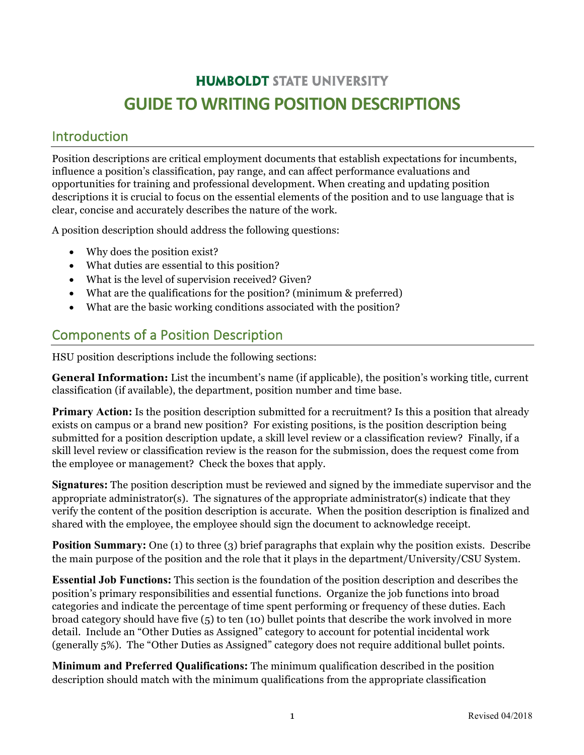# **HUMBOLDT STATE UNIVERSITY GUIDE TO WRITING POSITION DESCRIPTIONS**

### Introduction

Position descriptions are critical employment documents that establish expectations for incumbents, influence a position's classification, pay range, and can affect performance evaluations and opportunities for training and professional development. When creating and updating position descriptions it is crucial to focus on the essential elements of the position and to use language that is clear, concise and accurately describes the nature of the work.

A position description should address the following questions:

- Why does the position exist?
- What duties are essential to this position?
- What is the level of supervision received? Given?
- What are the qualifications for the position? (minimum & preferred)
- What are the basic working conditions associated with the position?

## Components of a Position Description

HSU position descriptions include the following sections:

**General Information:** List the incumbent's name (if applicable), the position's working title, current classification (if available), the department, position number and time base.

**Primary Action:** Is the position description submitted for a recruitment? Is this a position that already exists on campus or a brand new position? For existing positions, is the position description being submitted for a position description update, a skill level review or a classification review? Finally, if a skill level review or classification review is the reason for the submission, does the request come from the employee or management? Check the boxes that apply.

**Signatures:** The position description must be reviewed and signed by the immediate supervisor and the appropriate administrator(s). The signatures of the appropriate administrator(s) indicate that they verify the content of the position description is accurate. When the position description is finalized and shared with the employee, the employee should sign the document to acknowledge receipt.

**Position Summary:** One (1) to three (3) brief paragraphs that explain why the position exists. Describe the main purpose of the position and the role that it plays in the department/University/CSU System.

**Essential Job Functions:** This section is the foundation of the position description and describes the position's primary responsibilities and essential functions. Organize the job functions into broad categories and indicate the percentage of time spent performing or frequency of these duties. Each broad category should have five (5) to ten (10) bullet points that describe the work involved in more detail. Include an "Other Duties as Assigned" category to account for potential incidental work (generally 5%). The "Other Duties as Assigned" category does not require additional bullet points.

**Minimum and Preferred Qualifications:** The minimum qualification described in the position description should match with the minimum qualifications from the appropriate classification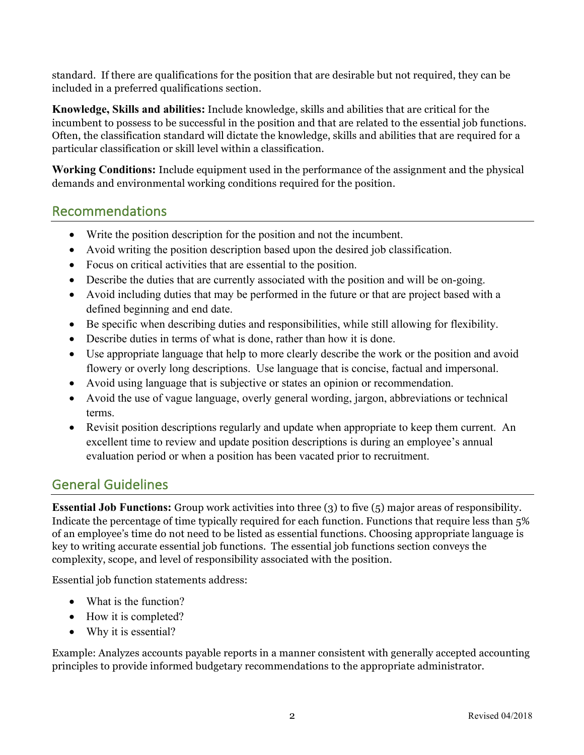standard. If there are qualifications for the position that are desirable but not required, they can be included in a preferred qualifications section.

**Knowledge, Skills and abilities:** Include knowledge, skills and abilities that are critical for the incumbent to possess to be successful in the position and that are related to the essential job functions. Often, the classification standard will dictate the knowledge, skills and abilities that are required for a particular classification or skill level within a classification.

**Working Conditions:** Include equipment used in the performance of the assignment and the physical demands and environmental working conditions required for the position.

### Recommendations

- Write the position description for the position and not the incumbent.
- Avoid writing the position description based upon the desired job classification.
- Focus on critical activities that are essential to the position.
- Describe the duties that are currently associated with the position and will be on-going.
- Avoid including duties that may be performed in the future or that are project based with a defined beginning and end date.
- Be specific when describing duties and responsibilities, while still allowing for flexibility.
- Describe duties in terms of what is done, rather than how it is done.
- Use appropriate language that help to more clearly describe the work or the position and avoid flowery or overly long descriptions. Use language that is concise, factual and impersonal.
- Avoid using language that is subjective or states an opinion or recommendation.
- Avoid the use of vague language, overly general wording, jargon, abbreviations or technical terms.
- Revisit position descriptions regularly and update when appropriate to keep them current. An excellent time to review and update position descriptions is during an employee's annual evaluation period or when a position has been vacated prior to recruitment.

## General Guidelines

**Essential Job Functions:** Group work activities into three (3) to five (5) major areas of responsibility. Indicate the percentage of time typically required for each function. Functions that require less than 5% of an employee's time do not need to be listed as essential functions. Choosing appropriate language is key to writing accurate essential job functions. The essential job functions section conveys the complexity, scope, and level of responsibility associated with the position.

Essential job function statements address:

- What is the function?
- How it is completed?
- Why it is essential?

Example: Analyzes accounts payable reports in a manner consistent with generally accepted accounting principles to provide informed budgetary recommendations to the appropriate administrator.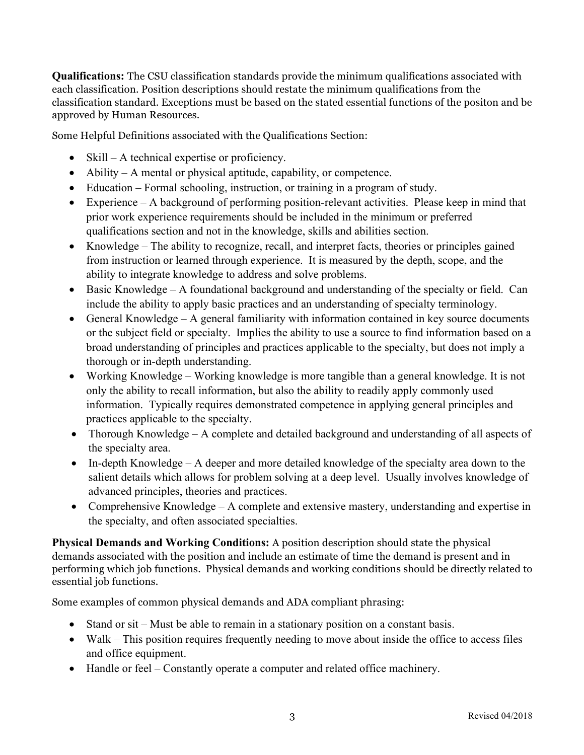**Qualifications:** The CSU classification standards provide the minimum qualifications associated with each classification. Position descriptions should restate the minimum qualifications from the classification standard. Exceptions must be based on the stated essential functions of the positon and be approved by Human Resources.

Some Helpful Definitions associated with the Qualifications Section:

- Skill A technical expertise or proficiency.
- Ability A mental or physical aptitude, capability, or competence.
- Education Formal schooling, instruction, or training in a program of study.
- Experience A background of performing position-relevant activities. Please keep in mind that prior work experience requirements should be included in the minimum or preferred qualifications section and not in the knowledge, skills and abilities section.
- Knowledge The ability to recognize, recall, and interpret facts, theories or principles gained from instruction or learned through experience. It is measured by the depth, scope, and the ability to integrate knowledge to address and solve problems.
- Basic Knowledge A foundational background and understanding of the specialty or field. Can include the ability to apply basic practices and an understanding of specialty terminology.
- General Knowledge A general familiarity with information contained in key source documents or the subject field or specialty. Implies the ability to use a source to find information based on a broad understanding of principles and practices applicable to the specialty, but does not imply a thorough or in-depth understanding.
- Working Knowledge Working knowledge is more tangible than a general knowledge. It is not only the ability to recall information, but also the ability to readily apply commonly used information. Typically requires demonstrated competence in applying general principles and practices applicable to the specialty.
- Thorough Knowledge A complete and detailed background and understanding of all aspects of the specialty area.
- In-depth Knowledge A deeper and more detailed knowledge of the specialty area down to the salient details which allows for problem solving at a deep level. Usually involves knowledge of advanced principles, theories and practices.
- Comprehensive Knowledge A complete and extensive mastery, understanding and expertise in the specialty, and often associated specialties.

**Physical Demands and Working Conditions:** A position description should state the physical demands associated with the position and include an estimate of time the demand is present and in performing which job functions. Physical demands and working conditions should be directly related to essential job functions.

Some examples of common physical demands and ADA compliant phrasing:

- Stand or sit Must be able to remain in a stationary position on a constant basis.
- Walk This position requires frequently needing to move about inside the office to access files and office equipment.
- Handle or feel Constantly operate a computer and related office machinery.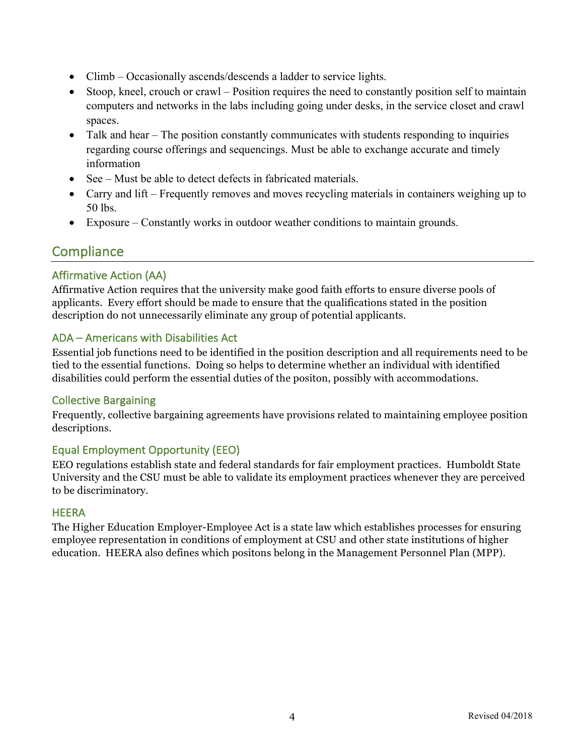- Climb Occasionally ascends/descends a ladder to service lights.
- Stoop, kneel, crouch or crawl Position requires the need to constantly position self to maintain computers and networks in the labs including going under desks, in the service closet and crawl spaces.
- Talk and hear The position constantly communicates with students responding to inquiries regarding course offerings and sequencings. Must be able to exchange accurate and timely information
- See Must be able to detect defects in fabricated materials.
- Carry and lift Frequently removes and moves recycling materials in containers weighing up to 50 lbs.
- Exposure Constantly works in outdoor weather conditions to maintain grounds.

## **Compliance**

### Affirmative Action (AA)

Affirmative Action requires that the university make good faith efforts to ensure diverse pools of applicants. Every effort should be made to ensure that the qualifications stated in the position description do not unnecessarily eliminate any group of potential applicants.

#### ADA – Americans with Disabilities Act

Essential job functions need to be identified in the position description and all requirements need to be tied to the essential functions. Doing so helps to determine whether an individual with identified disabilities could perform the essential duties of the positon, possibly with accommodations.

#### Collective Bargaining

Frequently, collective bargaining agreements have provisions related to maintaining employee position descriptions.

### Equal Employment Opportunity (EEO)

EEO regulations establish state and federal standards for fair employment practices. Humboldt State University and the CSU must be able to validate its employment practices whenever they are perceived to be discriminatory.

#### **HEERA**

The Higher Education Employer-Employee Act is a state law which establishes processes for ensuring employee representation in conditions of employment at CSU and other state institutions of higher education. HEERA also defines which positons belong in the Management Personnel Plan (MPP).